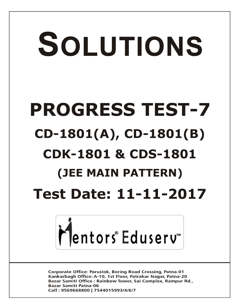# SOLUTIONS **PROGRESS TEST-7 CD-1801(A), CD-1801(B) CDK-1801 & CDS-1801 (JEE MAIN PATTERN) Test Date: 11-11-2017**



**Corporate Office: Paruslok, Boring Road Crossing, Patna-01** Kankarbagh Office: A-10, 1st Floor, Patrakar Nagar, Patna-20 Bazar Samiti Office: Rainbow Tower, Sai Complex, Rampur Rd., **Bazar Samiti Patna-06** Call: 9569668800 | 7544015993/4/6/7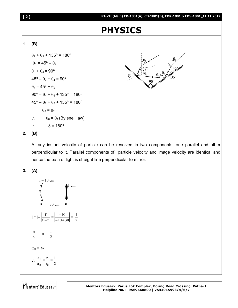# **PHYSICS**

# **1. (B)**

 $\theta_2$  +  $\theta_3$  + 135° = 180°  $\theta_3$  = 45° –  $\theta_2$  $\theta_3 + \theta_4 = 90^\circ$  $45^{\circ} - \theta_2 + \theta_4 = 90^{\circ}$  $\theta_4$  = 45° +  $\theta_2$  $90^{\circ} - \theta_4 + \theta_5 + 135^{\circ} = 180^{\circ}$  $45^{\circ} - \theta_2 + \theta_5 + 135^{\circ} = 180^{\circ}$  $\theta_5 = \theta_2$  $\theta_6 = \theta_1$  (By snell law)  $\hat{\delta}$  = 180<sup>o</sup>



## **2. (B)**

At any instant velocity of particle can be resolved in two components, one parallel and other perpendicular to it. Parallel components of particle velocity and image velocity are identical and hence the path of light is straight line perpendicular to mirror.

### **3. (A)**

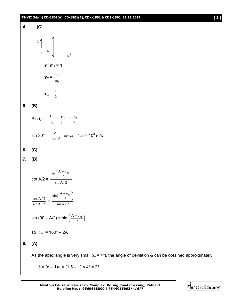### **PT-VII (Main) CD-1801(A), CD-1801(B), CDK-1801 & CDS-1801\_11.11.2017 [ 3 ]**



**Mentors Eduserv: Parus Lok Complex, Boring Road Crossing, Patna-1 Helpline No. : 9569668800 | 7544015993/4/6/7**

 $\delta = (n - 1)\alpha = (1.5 - 1) \times 4^{\circ} = 2^{\circ}.$ 

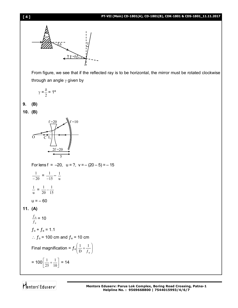

From figure, we see that if the reflected ray is to be horizontal, the mirror must be rotated clockwise through an angle  $\gamma$  given by

$$
\gamma = \frac{\delta}{2} = 1^{\circ}
$$

**9. (B)**

**10. (B)**



Mentors Eduserv<sup>®</sup>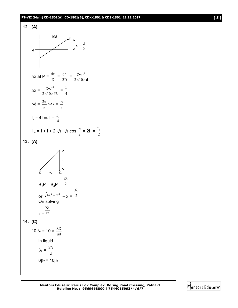### **PT-VII (Main) CD-1801(A), CD-1801(B), CDK-1801 & CDS-1801\_11.11.2017 [ 5 ]**



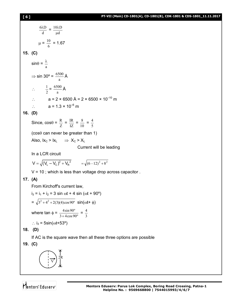**15. (C)**

**16. (D)**

**17. (A)**

$$
\frac{6\lambda \mathbf{D}}{d} = \frac{10\lambda \mathbf{D}}{\mu d}
$$
\n
$$
\mu = \frac{10}{6} = 1.67
$$
\n(C)  
\n
$$
\sin \theta = \frac{\lambda}{a}
$$
\n
$$
\Rightarrow \sin 30^{\circ} = \frac{6500}{a} \text{ Å}
$$
\n
$$
\therefore \frac{1}{2} = \frac{6500}{a} \text{ Å}
$$
\n
$$
\therefore \frac{a}{2} = \frac{6500}{a} \text{ Å}
$$
\n
$$
\therefore \frac{a}{2} = 2 \times 6500 \text{ Å} = 2 \times 6500 \times 10^{-10} \text{ m}
$$
\n
$$
\therefore \frac{a}{2} = 1.3 \times 10^{-6} \text{ m}
$$
\n(D)  
\nSince,  $\cos \theta = \frac{\mathbf{R}}{\mathbf{Z}} = \frac{\mathbf{IR}}{\mathbf{IZ}} = \frac{8}{10} = \frac{4}{5}$   
\n(cos \theta can never be greater than 1)  
\nAlso,  $1\mathbf{x}_c > 1\mathbf{x}_L \implies \mathbf{X}_c > \mathbf{X}_L$   
\nCurrent will be leading  
\nIn a LCR circuit  
\n
$$
\mathbf{V} = \sqrt{(\mathbf{V}_L - \mathbf{V}_c)^2 + \mathbf{V}_R^2} = \sqrt{(6-12)^2 + 8^2}
$$
\n
$$
\mathbf{V} = 10 \text{ ; which is less than voltage drop across capacitor.}
$$
\n(A)  
\nFrom Kirchoffs current law,  
\n
$$
\mathbf{i}_3 = \mathbf{i}_1 + \mathbf{i}_2 = 3 \text{ sin } \omega \mathbf{t} + 4 \text{ sin } (\omega \mathbf{t} + 90^{\circ})
$$
\n
$$
= \sqrt{3^2 + 4^2 + 2(3)(4)\cos 90^{\circ}} \text{ sin}(\omega \mathbf{t} + \phi)
$$
\nwhere  $\tan \phi = \frac{4 \sin 90^{\circ}}{3 + 4 \cos 90^{\circ}} = \frac{4}{3}$   
\n
$$
\therefore \mathbf{i}_3 = 5 \sin(\omega \mathbf{t} + 53^{\circ})
$$
\n(D)

If AC is the square wave then all these three options are possible

**19. (C)**

**18. (D)**

$$
\left(\begin{matrix} \cdot \\ \cdot \\ \cdot \\ \cdot \end{matrix}\right) \overset{\text{T}}{=} R
$$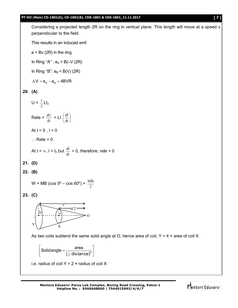### **PT-VII (Main) CD-1801(A), CD-1801(B), CDK-1801 & CDS-1801\_11.11.2017 [ 7 ]**

Considering a projected length 2R on the ring in vertical plane. This length will move at a speed v perpendicular to the field.

This results in an induced emf:

 $e = Bv$  (2R) in the ring

In Ring "A" :  $e_A = B(-V (2R))$ 

In Ring "B":  $e_B = B(V)$  (2R)

$$
\Delta V = e_{A} - e_{B} = 4BVR
$$

# **20. (A)**

 $U = \frac{1}{2}$  $\frac{1}{2}$  LI<sub>2</sub> Rate =  $\frac{dU}{dt}$  = LI  $\left(\frac{dI}{dt}\right)$ J  $\left(\frac{dI}{l}\right)$  $\overline{\phantom{0}}$ ſ dt dI At  $t = 0$ ,  $I = 0$  $\therefore$  Rate = 0

At 
$$
t = \infty
$$
,  $l = l_0$  but  $\frac{dl}{dt} = 0$ , therefore, rate = 0

**21. (D)**

**22. (B)**

$$
W = MB (cos 0^{\circ} - cos 60^{\circ}) = \frac{MB}{2}
$$

**23. (C)**



As two coils subtend the same solid angle at O, hence area of coil,  $Y = 4 \times$  area of coil X

 $\begin{bmatrix} \text{Solidangle} = \frac{\text{area}}{(\perp \text{distance})^2} \end{bmatrix}$ ( $\perp$  distance)

i.e. radius of coil  $Y = 2 \times$  radius of coil X

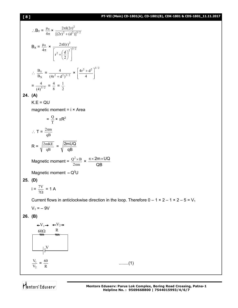# **[ 8 ] PT-VII (Main) CD-1801(A), CD-1801(B), CDK-1801 & CDS-1801\_11.11.2017**

2 1 V  $\frac{V_1}{V_2} = \frac{60}{R}$ 

Mentors<sup>e</sup> Eduserv<sup>-</sup>

$$
\therefore B_{Y} = \frac{\mu_{0}}{4\pi} \times \frac{2\pi I(2r)^{2}}{\left[ (2r)^{2} + (d^{2}) \right]^{3/2}}
$$
  
\n
$$
B_{X} = \frac{\mu_{0}}{4\pi} \times \frac{2\pi I(r)^{2}}{\left[ r^{2} + \left( \frac{d}{2} \right)^{2} \right]^{3/2}}
$$
  
\n
$$
\therefore \frac{B_{Y}}{B_{X}} = \frac{4}{(4r^{2} + d^{2})^{3/2}} \times \left[ \frac{4r^{2} + d^{2}}{4} \right]^{3/2}
$$
  
\n
$$
= \frac{4}{(4)^{3/2}} = \frac{4}{8} = \frac{1}{2}
$$
  
\n24. (A)  
\n
$$
K.E = QU
$$
  
\nmagnetic moment = i × Area  
\n
$$
= \frac{Q}{T} \times \pi R^{2}
$$
  
\n
$$
\therefore T = \frac{2\pi m}{qB}
$$
  
\n
$$
R = \sqrt{\frac{2mKE}{qB}} = \sqrt{\frac{2mUQ}{qB}}
$$
  
\nMagnetic moment = Q<sup>2</sup>×B ×  $\frac{\pi \times 2m \times UQ}{QB}$   
\nMagnetic moment = Q<sup>2</sup> ∪  
\n25. (D)  
\n
$$
i = \frac{7V}{7\Omega} = 1
$$
  
\nCurrent flows in anticlockwise direction in the loop. Therefore 0 – 1 × 2 – 1 × 2 – 5 = V<sub>1</sub>  
\nV<sub>1</sub> = –9V  
\n26. (B)  
\n
$$
+V_{1} \rightarrow +V_{2} \rightarrow
$$
  
\n
$$
\frac{\partial Q}{\partial W} = \frac{V}{W}
$$
  
\n
$$
= \frac{V}{W}
$$

**Mentors Eduserv: Parus Lok Complex, Boring Road Crossing, Patna-1**

 $\dots\dots\dots(1)$ 

**Helpline No. : 9569668800 | 7544015993/4/6/7**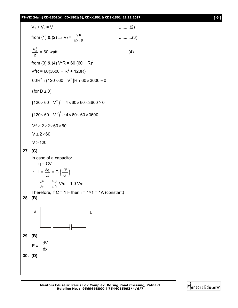# **PT-VII (Main) CD-1801(A), CD-1801(B), CDK-1801 & CDS-1801\_11.11.2017 [ 9 ]**

V<sub>1</sub> + V<sub>2</sub> = V    ...........(2)  
\nfrom (1) & (2) ⇒ V<sub>2</sub> = 
$$
\frac{\text{VR}}{60 + \text{R}}
$$
    ...........(3)  
\n $\frac{V_2^2}{\text{R}} = 60 \text{ wat}$     ........(4)  
\nfrom (3) & (4) V<sup>2</sup>R = 60 (60 + R)<sup>2</sup>  
\nV<sup>2</sup>R = 60(3600 + R<sup>2</sup> + 120R)  
\n60R<sup>2</sup> + (120 × 60 – V<sup>2</sup>)R + 60 × 3600 = 0  
\n(for D ≥ 0)  
\n $(120 × 60 – V2)2 = 4 × 60 × 60 × 3600 ≥ 0$   
\n $(120 × 60 – V2)2 ≥ 4 × 60 × 60 × 3600 ≥ 0$   
\n $V ≥ 2 × 60$   
\n $V ≥ 2 × 60$   
\n $V ≥ 120$   
\n27. (C)  
\nIn case of a capacitor  
\nq = CV  
\n $\therefore$  i =  $\frac{dq}{dt} = C(\frac{dV}{dt})$   
\n $\frac{dV}{dt} = \frac{4.0}{4.0}$  V/s = 1.0 V/s  
\nTherefore, if C = 1 F then i = 1×1 = 1A (constant)  
\n28. (B)  
\n $E = -\frac{dV}{dx}$   
\n30. (D)

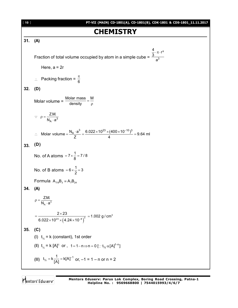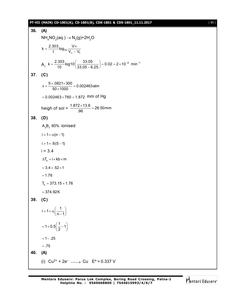# **PT-VII (MAIN) CD-1801(A), CD-1801(B), CDK-1801 & CDS-1801\_11.11.2017** [ **11** ]

36. (A)  
\nNH<sub>4</sub>NO<sub>2</sub>(aq.) 
$$
\rightarrow
$$
 N<sub>2</sub>(g)+2H<sub>2</sub>O  
\n $k = \frac{2.303}{t} log_{10} \frac{V \infty}{V_{\infty} - V_t}$   
\nA<sub>1</sub>  $k = \frac{2.303}{10} log_{10} (\frac{33.05}{33.05 - 6.25}) = 0.02 = 2 \times 10^{-2} \text{ min}^{-1}$   
\n37. (C)  
\n $\pi = \frac{5 \times .0821 \times 300}{50 \times 1000} = 0.002463 \text{ atm}$   
\n $= 0.002463 \times 760 = 1.872 \text{ mm of Hg}$   
\nheight of sol =  $\frac{1.872 \times 13.6}{.96} = 26.50 \text{ mm}$   
\n38. (D)  
\nA<sub>2</sub>B<sub>3</sub> 60% ionised  
\n $i = 1 + \alpha (n - 1)$   
\n $i = 1 + \alpha (6 - 1)$   
\n $i = 3.4$   
\n $\Delta T_b = i \times k b \times m$   
\n $= 3.4 \times .52 \times 1$   
\n $= 1.76$   
\n $T_b = 373.15 + 1.76$   
\n $= 374.92K$   
\n39. (C)  
\n $i = 1 + \alpha (\frac{1}{n - 1})$   
\n $= 1 - 25$   
\n $= .75$   
\n40. (A)  
\n(i) Cu<sup>2+</sup> + 2e<sup>-</sup>  $\longrightarrow$  Cu E<sup>o</sup> = 0.337 V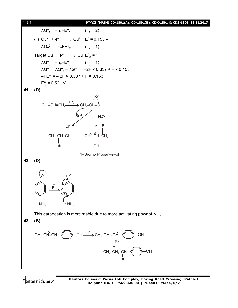

### [ **12** ] **PT-VII (MAIN) CD-1801(A), CD-1801(B), CDK-1801 & CDS-1801\_11.11.2017**



Mentors Eduserv

**Mentors Eduserv: Parus Lok Complex, Boring Road Crossing, Patna-1 Helpline No. : 9569668800 | 7544015993/4/6/7**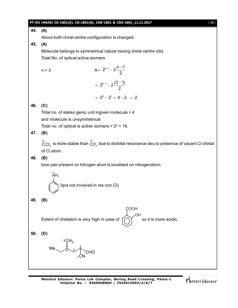

**Mentors Eduserv: Parus Lok Complex, Boring Road Crossing, Patna-1 Helpline No. : 9569668800 | 7544015993/4/6/7**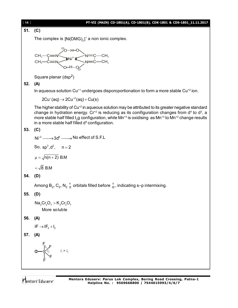

# [ **14** ] **PT-VII (MAIN) CD-1801(A), CD-1801(B), CDK-1801 & CDS-1801\_11.11.2017**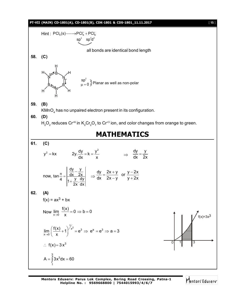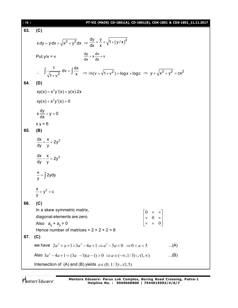| [16] | PT-VII (MAIN) CD-1801(A), CD-1801(B), CDK-1801 & CDS-1801_11.11.2017                                                                                  |
|------|-------------------------------------------------------------------------------------------------------------------------------------------------------|
| 63.  | (C)                                                                                                                                                   |
|      | $xdy = y dx + \sqrt{x^2 + y^2} dx \Rightarrow \frac{dy}{dx} = \frac{y}{x} + \sqrt{1 + (y/x)^2}$                                                       |
|      | $\frac{dy}{dx} = x \frac{dv}{dx} + v$<br>Put $y/x = v$                                                                                                |
|      | $\therefore \int \frac{1}{\sqrt{1+y^2}} dv = \int \frac{dx}{x} \implies \ln(y + \sqrt{1+y^2}) = \log x + \log c \implies y + \sqrt{x^2 + y^2} = cx^2$ |
| 64.  | (D)                                                                                                                                                   |
|      | $xy(x) = x^2y'(x) + y(x).2x$                                                                                                                          |
|      | $xy(x) + x^2y'(x) = 0$                                                                                                                                |
|      | $x \frac{dy}{dx} + y = 0$                                                                                                                             |
|      | $x y = 6$                                                                                                                                             |
| 65.  | (B)                                                                                                                                                   |
|      | $\frac{dx}{dv} = \frac{x}{v} + 2y^2$                                                                                                                  |
|      | $\frac{dx}{dv} - \frac{x}{v} = 2y^2$                                                                                                                  |
|      | $\frac{x}{y} = \int 2y dy$                                                                                                                            |
|      | $\frac{x}{-} = y^2 + c$                                                                                                                               |
| 66.  | (C)                                                                                                                                                   |
|      | In a skew symmetric matrix,                                                                                                                           |
|      | $\begin{vmatrix} 0 & \times & \times \\ \times & 0 & \times \\ \times & \times & 0 \end{vmatrix}$<br>diagonal elements are zero.                      |
|      | Also $a_{ii} + a_{ii} = 0$                                                                                                                            |
| 67.  | Hence number of matrices = $2 \times 2 \times 2 = 8$                                                                                                  |
|      | (C)                                                                                                                                                   |
|      | we have $2a^2 + a + 1 > 3a^2 - 4a + 1 \Rightarrow a^2 - 5a < 0 \Rightarrow 0 < a < 5$<br>(A)                                                          |
|      | Also $3a^2 - 4a + 1 = (3a - 1)(a - 1) > 0 \Rightarrow a \in (-\infty, 1/3) \cup (1, \infty)$<br>(B)                                                   |
|      | Intersection of (A) and (B) yields $a \in (0, 1/3) \cup (1, 5)$                                                                                       |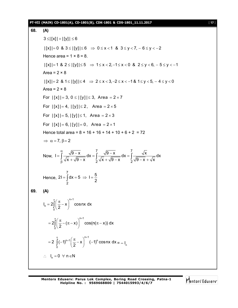### **PT-VII (MAIN) CD-1801(A), CD-1801(B), CDK-1801 & CDS-1801\_11.11.2017** [ **17** ]

68. (A)  
\n3 ≤ |[x]| + |[y]| ≤ 6  
\n|[x]| = 0 & 3 ≤ |[y]| ≤ 6 ⇒ 0 ≤ x < 1 & 3 ≤ y < 7, -6 ≤ y < -2  
\nHence area = 1 × 8 = 8.  
\n|[x]| = 1 & 8 & 2 ≤ |[y]| ≤ 5 ⇒ 1 ≤ x < 2, -1 ≤ x < 0 & 8 & 2 ≤ y < 6, -5 ≤ y < -1  
\nArea = 2 × 8  
\n|x]| = 2 & 8 & 1 ≤ |[y]| ≤ 4 ⇒ 2 ≤ x < 3, -2 ≤ x < -1 & 8 & 1 ≤ y < 5, -4 ≤ y < 0  
\nArea = 2 × 8  
\nFor |[x]| = 3, 0 ≤ |[y]| ≤ 3, Area = 2 × 7  
\nFor |[x]| = 4, |[y]| ≤ 2, Area = 2 × 5  
\nFor |[x]| = 5, |[y]| ≤ 1, Area = 2 × 3  
\nFor |[x]| = 6, |[y]| = 0, Area = 2 × 1  
\nHence total area = 8 + 16 + 16 + 14 + 10 + 6 + 2 = 72  
\n⇒ 
$$
\alpha = 7, \beta = 2
$$
  
\nNow,  $I = \int_{\beta}^{\alpha} \frac{\sqrt{9-x}}{\sqrt{x} + \sqrt{9-x}} dx = \int_{2}^{\gamma} \frac{\sqrt{9-x}}{\sqrt{x} + \sqrt{9-x}} dx = \int_{2}^{\gamma} \frac{\sqrt{x}}{\sqrt{9-x} + \sqrt{x}} dx$   
\nHence,  $2I = \int_{2}^{\gamma} dx = 5 \Rightarrow I = \frac{5}{2}$   
\n69. (A)  
\n $I_n = 2\int_{0}^{\frac{\pi}{2}} (\frac{\pi}{2} - x)^{n+1} \cos nx dx$   
\n $= 2\int_{0}^{\frac{\pi}{2}} (-1)^{n+1} (\frac{\pi}{2} - x)^{n+1} (-1)^n \cos nx dx = -I_n$   
\n $\therefore I_n = 0 \forall n \in \mathbb{N}$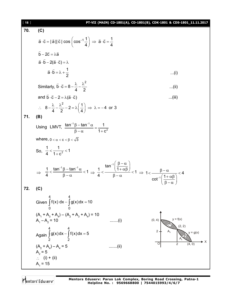| $[ 18 ]$ | PT-VII (MAIN) CD-1801(A), CD-1801(B), CDK-1801 & CDS-1801_11.11.2017                                                                                                                                                                                                                                              |  |
|----------|-------------------------------------------------------------------------------------------------------------------------------------------------------------------------------------------------------------------------------------------------------------------------------------------------------------------|--|
| 70.      | (C)                                                                                                                                                                                                                                                                                                               |  |
|          | $\vec{a} \cdot \vec{c} =  \vec{a}   \vec{c}  \cos \left( \cos^{-1} \frac{1}{4} \right) \Rightarrow \vec{a} \cdot \vec{c} = \frac{1}{4}$                                                                                                                                                                           |  |
|          | $\vec{b} - 2\vec{c} = \lambda \vec{a}$                                                                                                                                                                                                                                                                            |  |
|          | $\vec{a} \cdot \vec{b} - 2(\vec{a} \cdot \vec{c}) = \lambda$                                                                                                                                                                                                                                                      |  |
|          | $\vec{a} \cdot \vec{b} = \lambda + \frac{1}{2}$<br>(i)                                                                                                                                                                                                                                                            |  |
|          | Similarly, $\vec{b} \cdot \vec{c} = 8 - \frac{\lambda}{4} - \frac{\lambda^2}{2}$<br>(ii)                                                                                                                                                                                                                          |  |
|          | and $\vec{b} \cdot \vec{c} - 2 = \lambda(\vec{a} \cdot \vec{c})$<br>(iii)                                                                                                                                                                                                                                         |  |
|          | $\therefore \quad 8 - \frac{\lambda}{4} - \frac{\lambda^2}{2} - 2 = \lambda \left( \frac{1}{4} \right) \Rightarrow \lambda = -4 \text{ or } 3$                                                                                                                                                                    |  |
| 71.      | (B)                                                                                                                                                                                                                                                                                                               |  |
|          | Using LMVT, $\frac{\tan^{-1}\beta - \tan^{-1}\alpha}{\beta - \alpha} = \frac{1}{1 + c^2}$                                                                                                                                                                                                                         |  |
|          | where, $0 < \alpha < c < \beta < \sqrt{3}$                                                                                                                                                                                                                                                                        |  |
|          | So, $\frac{1}{4} < \frac{1}{1 \cdot c^2} < 1$                                                                                                                                                                                                                                                                     |  |
|          | $\Rightarrow \frac{1}{4} < \frac{\tan^{-1}\beta - \tan^{-1}\alpha}{\beta - \alpha} < 1 \Rightarrow \frac{1}{4} < \frac{\tan^{-1}\left(\frac{\beta - \alpha}{1 + \alpha\beta}\right)}{\beta - \alpha} < 1 \Rightarrow 1 < \frac{\beta - \alpha}{\cot^{-1}\left(\frac{1 + \alpha\beta}{\beta - \alpha}\right)} < 4$ |  |
| 72.      | (C)                                                                                                                                                                                                                                                                                                               |  |
|          | Given $\int_{0}^{1} f(x) dx - \int_{0}^{1} g(x) dx = 10$                                                                                                                                                                                                                                                          |  |
|          | $(A_1 + A_3 + A_4) - (A_2 + A_3 + A_4) = 10$<br>$v = f(x)$<br>(0, 4)<br>$A_1 - A_2 = 10$<br>$\ldots$ (i)                                                                                                                                                                                                          |  |
|          | Again $\int_{2}^{4} g(x) dx - \int_{2}^{4} f(x) dx = 5$<br>$y = g(x)$                                                                                                                                                                                                                                             |  |
|          | $(A_2 + A_4) - A_4 = 5$<br>. (ii )<br>$A_{2} = 5$                                                                                                                                                                                                                                                                 |  |
|          | $\therefore$ (i) + (ii)<br>$A_1 = 15$                                                                                                                                                                                                                                                                             |  |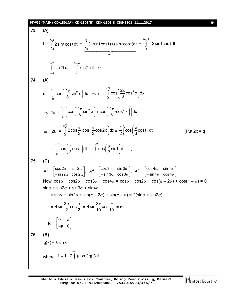### **PT-VII (MAIN) CD-1801(A), CD-1801(B), CDK-1801 & CDS-1801\_11.11.2017** [ **19** ] **73. (A)**  $I =$ /2 /4 2sintcostdt  $\pi$  $\int\limits_{\pi/4} 2\sin t \cos t \, dt \ +$ /2 zero  $(-\!\sin\!t\!\cos\!t) \!+\! (\sin t\!\cos\!t)$ dt  $\pi$  $\int\limits_{\pi/2}(-\!\sin\!t\cos t)+($  $\frac{\pi}{2}$  +  $5\pi/4$ 2sintcostdt  $\pi$  $\int_{\pi}$  - = /2 /4 sin2t  $\pi$  $\int\limits_{\pi/4}$ sin 2t dt –  $5\pi/4$ sin2tdt  $\pi$  $\int\limits_{\pi}$  sin2t dt = 0 **74. (A)** u =  $\int_{0}^{2} \cos \left( \frac{2\pi}{\epsilon} \sin^2 x \right) dx$ 0 3  $\int_{0}^{\pi/2} \cos \left( \frac{2\pi}{3} \sin^2 x \right) dx \Rightarrow u =$  $\int_{0}^{2} \cos \left( 2\pi \cos^2 \theta \right)$ 0  $\cos \left( \frac{2\pi}{6} \cos^2 x \right)$ dx 3  $\int_{0}^{\pi/2}$ cos $\left(\frac{2\pi}{3}\cos^2 x\right)$ d  $\Rightarrow$  2u =  $\int_{0}^{2\pi} \left( \cos \left( \frac{2\pi}{\lambda} \sin^2 x \right) + \cos \left( \frac{2\pi}{\lambda} \cos^2 x \right) \right) dx$ 0  $3 \text{ cm}$   $\rightarrow$   $\sim$   $(3$  $\int_{0}^{\pi/2} \left( \cos \left( \frac{2\pi}{3} \sin^2 x \right) + \cos \left( \frac{2\pi}{3} \cdot \cos^2 x \right) \right)$ d  $\Rightarrow$  2u = /2 0  $2\cos \frac{\pi}{6} \cos \frac{\pi}{6} \cos 2x$  |dx  $3^{11}$   $(3)$  $\int_{0}^{\pi/2} 2\cos{\frac{\pi}{3}} \cdot \cos{\left(\frac{\pi}{3}\cos{2x}\right)} dx = \frac{1}{2} \int_{0}^{\pi}$  $\frac{1}{6} \int_{0}^{\pi} \cos \left( \frac{\pi}{6} \cos t \right) dt$  $2^{11}_{0}$  (3)  $\int_{0}^{\pi} \cos\left(\frac{\pi}{3}\cos t\right) dt$  [Put 2x = t] = /2 0  $|\cos|\frac{\pi}{6}$ cost dt 3  $\int_{0}^{\pi/2} \cos\left(\frac{\pi}{3}\cos t\right) dt =$ /2 0  $|\cos|\frac{\pi}{6}$ sint  $|dt|$ 3  $\int_{0}^{\pi/2}$ cos $\left(\frac{\pi}{3}\sin t\right)$ dt = v **75. (C)**  $A^2 = \begin{vmatrix} \cos 2\alpha & \sin 2\alpha \\ -\sin 2\alpha & \cos 2\alpha \end{vmatrix}$ ,  $A^3 = \begin{vmatrix} \cos 3\alpha & \sin 3\alpha \\ -\sin 3\alpha & \cos 3\alpha \end{vmatrix}$ ,  $A^4 = \begin{vmatrix} \cos 4\alpha & \sin 4\alpha \\ -\sin 4\alpha & \cos 4\alpha \end{vmatrix}$  $=\begin{bmatrix} \cos 2\alpha & \sin 2\alpha \\ -\sin 2\alpha & \cos 2\alpha \end{bmatrix}$ ,  $A^3 = \begin{bmatrix} \cos 3\alpha & \sin 3\alpha \\ -\sin 3\alpha & \cos 3\alpha \end{bmatrix}$ ,  $A^4 = \begin{bmatrix} \cos 4\alpha & \sin 4\alpha \\ -\sin 4\alpha & \cos 4\alpha \end{bmatrix}$ Now,  $\cos \alpha + \cos 2\alpha + \cos 3\alpha + \cos 4\alpha = \cos \alpha + \cos 2\alpha + \cos(\pi - 2\alpha) + \cos(\pi - \alpha) = 0$  $\sin \alpha$  + sin2 $\alpha$  + sin3 $\alpha$  + sin4 $\alpha$  $= \sin \alpha + \sin 2\alpha + \sin(\pi - 2\alpha) + \sin(\pi - \alpha) = 2(\sin \alpha + \sin 2\alpha)$ = 4 sin  $\frac{3\alpha}{2}$ cos  $2^{\sim}$  2  $\alpha$   $\alpha$  = 4 sin $\frac{3\pi}{12}$ cos  $10 - 10$  $\pi$ <sub>222</sub> $\pi$  = a  $\therefore$  B = 0 a a 0 |0 a|  $\begin{bmatrix} -\mathsf{a} & \mathsf{0} \end{bmatrix}$ **76. (B)**  $g(x) = \lambda \sin x$ where /2 0  $1 - 2$  (cost)g(t)dt π  $\lambda = 1 - 2$   $\int$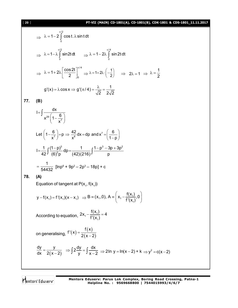### [ **20** ] **PT-VII (MAIN) CD-1801(A), CD-1801(B), CDK-1801 & CDS-1801\_11.11.2017**

$$
\Rightarrow \lambda = 1 - 2 \int_{0}^{\pi/2} \cos t \cdot \lambda \sin t dt
$$
  
\n
$$
\Rightarrow \lambda = 1 - \lambda \int_{0}^{\pi/2} \sin 2t dt \qquad \Rightarrow \lambda = 1 - 2\lambda \int_{0}^{\pi/4} \sin 2t dt
$$
  
\n
$$
\Rightarrow \lambda = 1 + 2\lambda \left[ \frac{\cos 2t}{2} \right]_{0}^{\pi/4} \Rightarrow \lambda = 1 + 2\lambda \cdot \left( -\frac{1}{2} \right) \qquad \Rightarrow \quad 2\lambda = 1 \qquad \Rightarrow \lambda = \frac{1}{2}
$$
  
\n
$$
g'(x) = \lambda \cos x \Rightarrow g'(\pi/4) = \frac{\lambda}{\sqrt{2}} = \frac{1}{2\sqrt{2}}
$$

**77. (B)**

$$
I = \int \frac{dx}{x^{29} \left(1 - \frac{6}{x^7}\right)}
$$
  
Let  $\left(1 - \frac{6}{x^7}\right) = p \Rightarrow \frac{42}{x^8} dx = dp$  and  $x^7 = \left(\frac{6}{1 - p}\right)$   

$$
I = \frac{1}{42} \int \frac{(1 - p)^3}{(6)^3 p} dp = \frac{1}{(42)(216)} \int \frac{1 - p^3 - 3p + 3p^2}{p}
$$

$$
= \frac{1}{54432} \left[ln p^6 + 9p^2 - 2p^3 - 18p\right] + c
$$

**78. (A)**

Equation of tangent at P(x<sub>1</sub>, f(x<sub>1</sub>))

$$
y - f(x_1) = f'(x_1)(x - x_1) \Rightarrow B = (x_1, 0), A = \left(x_1 - \frac{f(x_1)}{f'(x_1)}, 0\right)
$$

According to equation,  $2x_1 - \frac{1}{f'(x_1)}$ 1  $2x_1 - \frac{f(x_1)}{f(x_2)} = 4$ f' $(x_1)$  $-\frac{1}{516}$  = 4

on generalising,  $f'(x)$  $(x)$  $(x-2)$  $f'(x) = \frac{f(x)}{g(x)}$  $2(x-2)$  $=$ -

$$
\frac{dy}{dx} = \frac{y}{2(x-2)} \Rightarrow \int 2\frac{dy}{y} = \int \frac{dx}{x-2} \Rightarrow 2\ln y = \ln(x-2) + k \Rightarrow y^2 = c(x-2)
$$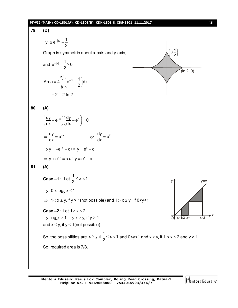

**Mentors Eduserv: Parus Lok Complex, Boring Road Crossing, Patna-1 Helpline No. : 9569668800 | 7544015993/4/6/7**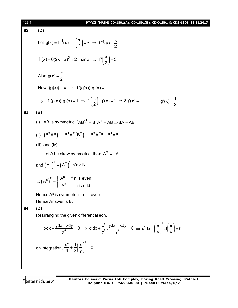[ **22** ] **PT-VII (MAIN) CD-1801(A), CD-1801(B), CDK-1801 & CDS-1801\_11.11.2017 82. (D)** Let <sup>1</sup> g(x) f (x) ; f 2 <sup>1</sup> f ( ) 2 2 f '(x) 6(2x ) 2 sinx f ' 3 2 Also g( ) 2 Now f(g(x)) = x f '(g(x)).g'(x) 1 f '(g( )).g'( ) 1 f ' g'( ) 1 3g'( ) 1 2 1 g'( ) 3 **83. (B)** (i) AB is symmetric <sup>T</sup> T T AB B A AB BA AB (II) T T T T T T T T T B AB B A B B A B B AB (iii) and (iv) Let A be skew symmetric, then <sup>T</sup> A A and T n n T A A , n N n T n n A If n is even <sup>A</sup> A If n is odd Hence A<sup>n</sup> is symmetric if n is even Hence Answer is B. **84. (D)** Rearranging the given differential eqn. 4 ydx xdy xdx 0 y 2 3 2 2 x ydx xdy x dx . 0 y y 2 <sup>3</sup> x x x dx .d 0 y y on integration, 3 4 x 1 x c 4 3 y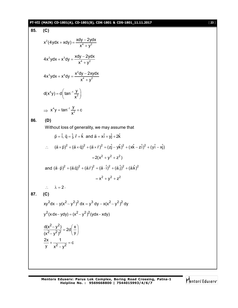# **PT-VII (MAIN) CD-1801(A), CD-1801(B), CDK-1801 & CDS-1801\_11.11.2017** [ **23** ]

85. (C)  
\n
$$
x^{2}(4ydx + xdy) = \frac{xdy - 2ydx}{x^{4} + y^{2}}
$$
\n
$$
4x^{2}ydx + x^{3}dy = \frac{xdy - 2ydx}{x^{4} + y^{2}}
$$
\n
$$
4x^{3}ydx + x^{4}dy = \frac{x^{2}dy - 2xydx}{x^{4} + y^{2}}
$$
\n
$$
d(x^{4}y) = d\left(\tan^{-1}\frac{y}{x^{2}}\right)
$$
\n
$$
\Rightarrow x^{4}y = \tan^{-1}\frac{y}{x^{2}} + c
$$
\n86. (D)  
\nWithout loss of generality, we may assume that  
\n $\dot{p} = \hat{i}, \dot{q} = \hat{j}, \dot{f} = \hat{k}$  and  $\dot{a} = x\hat{i} + y\hat{j} + 2\hat{k}$   
\n $\therefore$   $(\dot{a} \times \dot{p})^{2} + (\dot{a} \times \dot{q})^{2} + (\dot{a} \times \dot{r})^{2} = (z\hat{j} - y\hat{k})^{2} + (x\hat{k} - z\hat{i})^{2} + (y\hat{i} - x\hat{j})$   
\n $= 2(x^{2} + y^{2} + z^{2})$   
\nand  $(\dot{a} \cdot \dot{p})^{2} + (\dot{a}\dot{q})^{2} + (\dot{a}\dot{r})^{2} = (\dot{a} \cdot \hat{i})^{2} + (\dot{a}\dot{\hat{j}})^{2} + (\dot{a}\dot{\hat{k}})^{2}$   
\n $\therefore \qquad \lambda = 2$ .  
\n87. (C)  
\n $xy^{2}dx - y(x^{2} - y^{2})^{2}dx = y^{3} dy - x(x^{2} - y^{2})^{2} dy$   
\n $y^{2}(x dx - y dy) = (x^{2} - y^{2})^{2}(ydx - xdy)$   
\n $\frac{d(x^{2} - y^{2})^{2}}{(x^{2} - y^{2})^{2}} = 2d\left(\frac{x}{y}\right)$   
\n $\frac{2x}{y} + \frac{1}{x^{2} - y^{2}} = c$